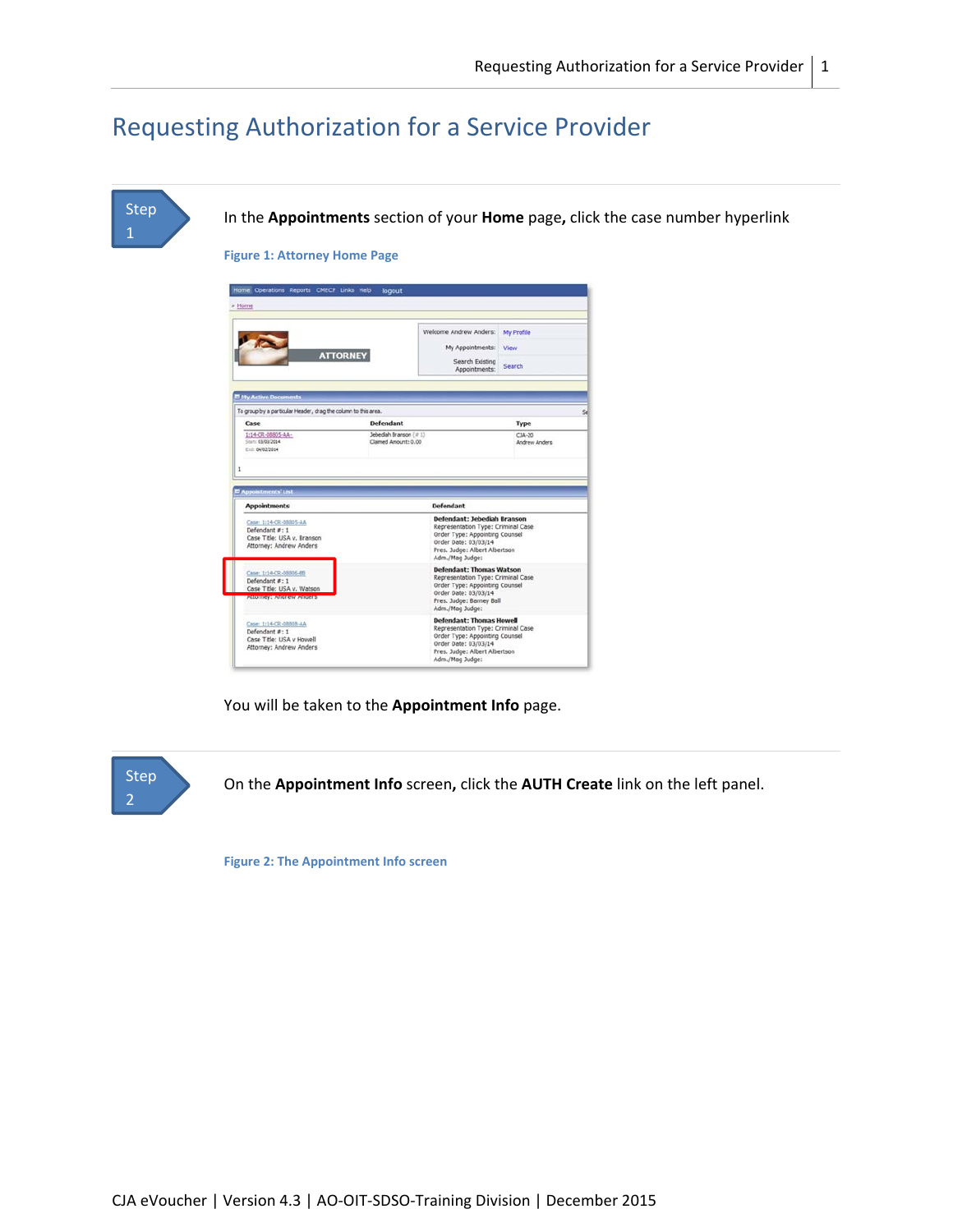# Requesting Authorization for a Service Provider





**Figure 2: The Appointment Info screen**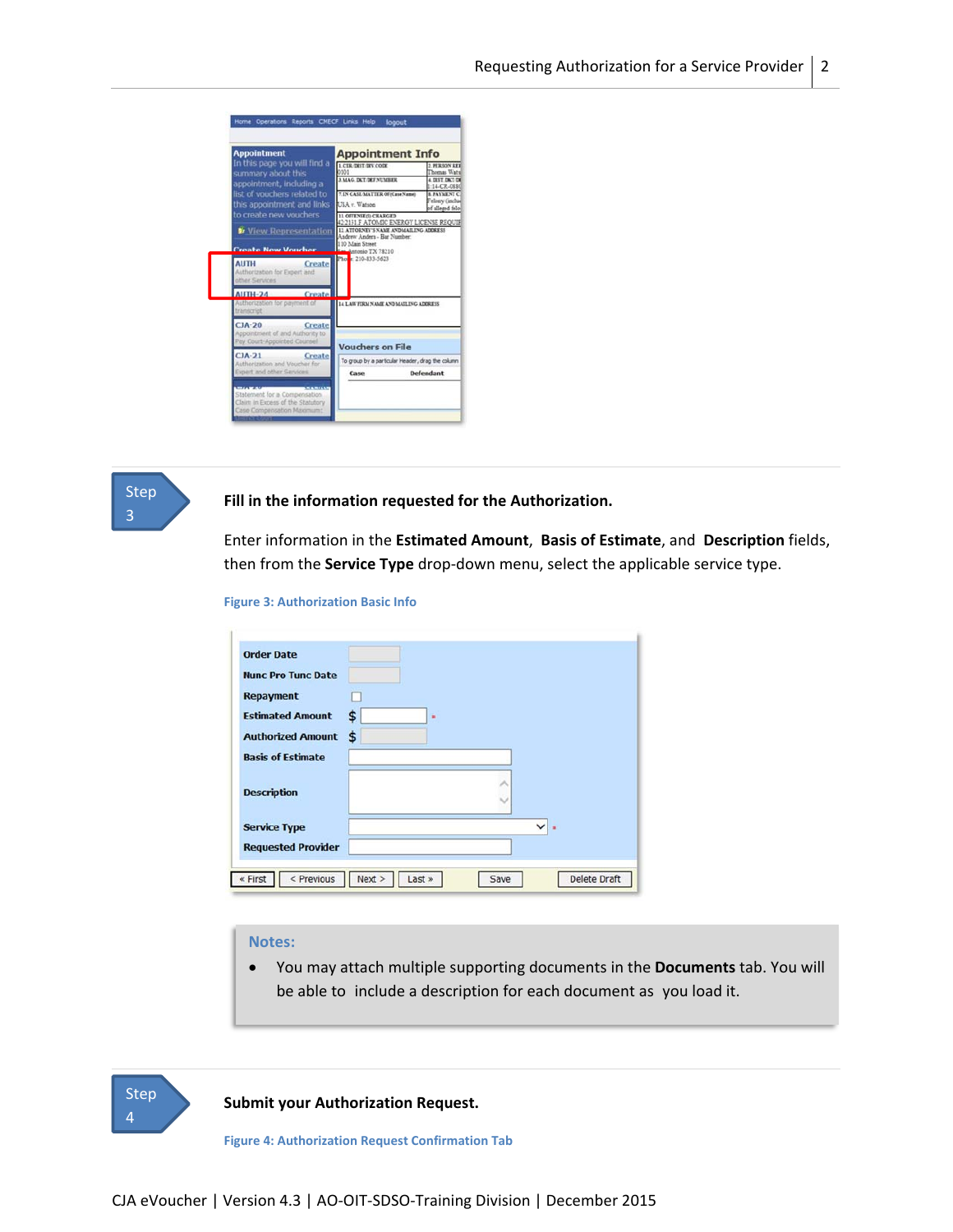



## **Fill in the information requested for the Authorization.**

Enter information in the **Estimated Amount**, **Basis of Estimate**, and **Description** fields, then from the **Service Type** drop‐down menu, select the applicable service type.

#### **Figure 3: Authorization Basic Info**

| <b>Order Date</b>         |          |
|---------------------------|----------|
| <b>Nunc Pro Tunc Date</b> |          |
| Repayment                 |          |
| <b>Estimated Amount</b>   | S<br>٠   |
| <b>Authorized Amount</b>  | \$       |
| <b>Basis of Estimate</b>  |          |
| <b>Description</b>        |          |
| <b>Service Type</b>       | $\vee$ . |
| <b>Requested Provider</b> |          |

# **Notes:**

 You may attach multiple supporting documents in the **Documents** tab. You will be able to include a description for each document as you load it.



**Submit your Authorization Request.**

**Figure 4: Authorization Request Confirmation Tab**